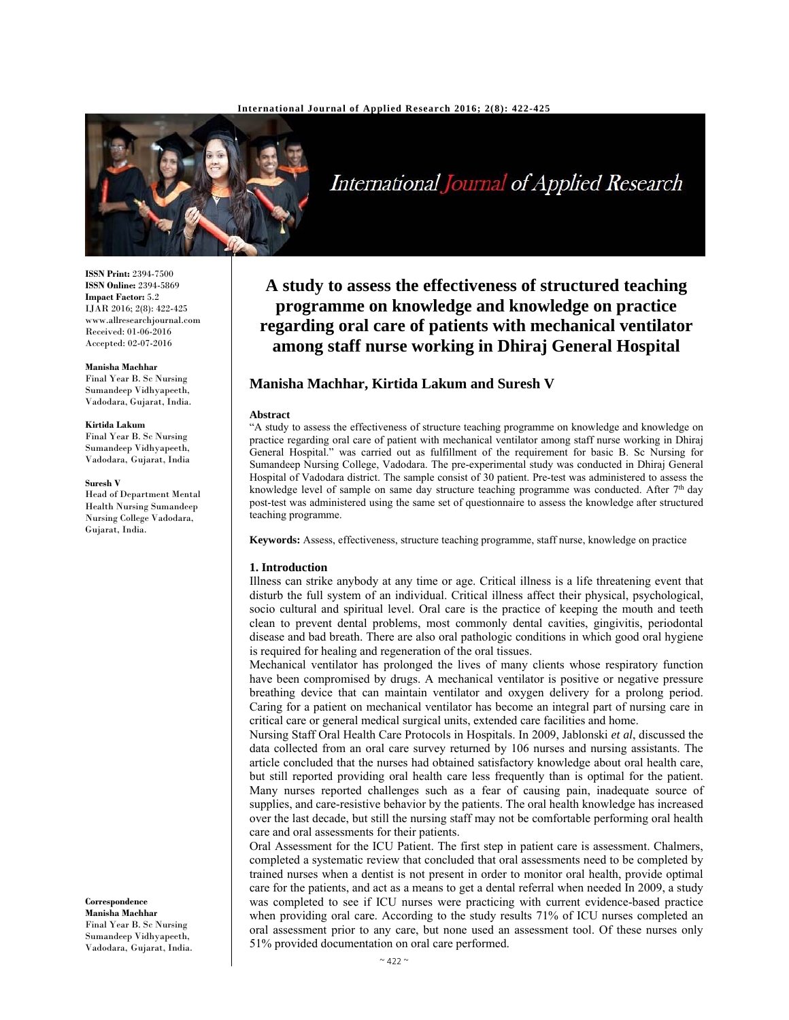

# International Journal of Applied Research

**ISSN Print:** 2394-7500 **ISSN Online:** 2394-5869 **Impact Factor:** 5.2 IJAR 2016; 2(8): 422-425 www.allresearchjournal.com Received: 01-06-2016 Accepted: 02-07-2016

#### **Manisha Machhar**

Final Year B. Sc Nursing Sumandeep Vidhyapeeth, Vadodara, Gujarat, India.

#### **Kirtida Lakum**

Final Year B. Sc Nursing Sumandeep Vidhyapeeth, Vadodara, Gujarat, India

#### **Suresh V**

Head of Department Mental Health Nursing Sumandeep Nursing College Vadodara, Gujarat, India.

**A study to assess the effectiveness of structured teaching programme on knowledge and knowledge on practice regarding oral care of patients with mechanical ventilator among staff nurse working in Dhiraj General Hospital** 

# **Manisha Machhar, Kirtida Lakum and Suresh V**

#### **Abstract**

"A study to assess the effectiveness of structure teaching programme on knowledge and knowledge on practice regarding oral care of patient with mechanical ventilator among staff nurse working in Dhiraj General Hospital." was carried out as fulfillment of the requirement for basic B. Sc Nursing for Sumandeep Nursing College, Vadodara. The pre-experimental study was conducted in Dhiraj General Hospital of Vadodara district. The sample consist of 30 patient. Pre-test was administered to assess the knowledge level of sample on same day structure teaching programme was conducted. After  $7<sup>th</sup>$  day post-test was administered using the same set of questionnaire to assess the knowledge after structured teaching programme.

**Keywords:** Assess, effectiveness, structure teaching programme, staff nurse, knowledge on practice

#### **1. Introduction**

Illness can strike anybody at any time or age. Critical illness is a life threatening event that disturb the full system of an individual. Critical illness affect their physical, psychological, socio cultural and spiritual level. Oral care is the practice of keeping the mouth and teeth clean to prevent dental problems, most commonly dental cavities, gingivitis, periodontal disease and bad breath. There are also oral pathologic conditions in which good oral hygiene is required for healing and regeneration of the oral tissues.

Mechanical ventilator has prolonged the lives of many clients whose respiratory function have been compromised by drugs. A mechanical ventilator is positive or negative pressure breathing device that can maintain ventilator and oxygen delivery for a prolong period. Caring for a patient on mechanical ventilator has become an integral part of nursing care in critical care or general medical surgical units, extended care facilities and home.

Nursing Staff Oral Health Care Protocols in Hospitals. In 2009, Jablonski *et al*, discussed the data collected from an oral care survey returned by 106 nurses and nursing assistants. The article concluded that the nurses had obtained satisfactory knowledge about oral health care, but still reported providing oral health care less frequently than is optimal for the patient. Many nurses reported challenges such as a fear of causing pain, inadequate source of supplies, and care-resistive behavior by the patients. The oral health knowledge has increased over the last decade, but still the nursing staff may not be comfortable performing oral health care and oral assessments for their patients.

Oral Assessment for the ICU Patient. The first step in patient care is assessment. Chalmers, completed a systematic review that concluded that oral assessments need to be completed by trained nurses when a dentist is not present in order to monitor oral health, provide optimal care for the patients, and act as a means to get a dental referral when needed In 2009, a study was completed to see if ICU nurses were practicing with current evidence-based practice when providing oral care. According to the study results 71% of ICU nurses completed an oral assessment prior to any care, but none used an assessment tool. Of these nurses only 51% provided documentation on oral care performed.

**Correspondence Manisha Machhar**  Final Year B. Sc Nursing Sumandeep Vidhyapeeth, Vadodara, Gujarat, India.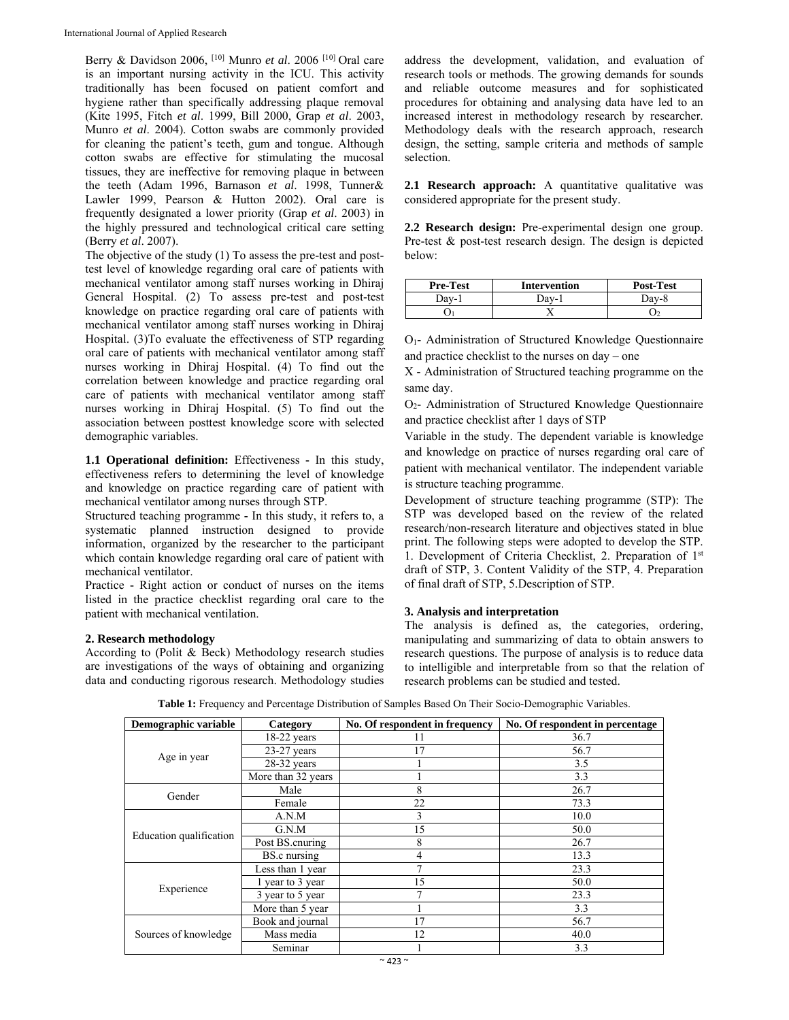Berry & Davidson 2006, [10] Munro *et al*. 2006 [10] Oral care is an important nursing activity in the ICU. This activity traditionally has been focused on patient comfort and hygiene rather than specifically addressing plaque removal (Kite 1995, Fitch *et al*. 1999, Bill 2000, Grap *et al*. 2003, Munro *et al*. 2004). Cotton swabs are commonly provided for cleaning the patient's teeth, gum and tongue. Although cotton swabs are effective for stimulating the mucosal tissues, they are ineffective for removing plaque in between the teeth (Adam 1996, Barnason *et al*. 1998, Tunner& Lawler 1999, Pearson & Hutton 2002). Oral care is frequently designated a lower priority (Grap *et al*. 2003) in the highly pressured and technological critical care setting (Berry *et al*. 2007).

The objective of the study (1) To assess the pre-test and posttest level of knowledge regarding oral care of patients with mechanical ventilator among staff nurses working in Dhiraj General Hospital. (2) To assess pre-test and post-test knowledge on practice regarding oral care of patients with mechanical ventilator among staff nurses working in Dhiraj Hospital. (3)To evaluate the effectiveness of STP regarding oral care of patients with mechanical ventilator among staff nurses working in Dhiraj Hospital. (4) To find out the correlation between knowledge and practice regarding oral care of patients with mechanical ventilator among staff nurses working in Dhiraj Hospital. (5) To find out the association between posttest knowledge score with selected demographic variables.

**1.1 Operational definition:** Effectiveness **-** In this study, effectiveness refers to determining the level of knowledge and knowledge on practice regarding care of patient with mechanical ventilator among nurses through STP.

Structured teaching programme **-** In this study, it refers to, a systematic planned instruction designed to provide information, organized by the researcher to the participant which contain knowledge regarding oral care of patient with mechanical ventilator.

Practice **-** Right action or conduct of nurses on the items listed in the practice checklist regarding oral care to the patient with mechanical ventilation.

## **2. Research methodology**

According to (Polit & Beck) Methodology research studies are investigations of the ways of obtaining and organizing data and conducting rigorous research. Methodology studies address the development, validation, and evaluation of research tools or methods. The growing demands for sounds and reliable outcome measures and for sophisticated procedures for obtaining and analysing data have led to an increased interest in methodology research by researcher. Methodology deals with the research approach, research design, the setting, sample criteria and methods of sample selection.

2.1 Research approach: A quantitative qualitative was considered appropriate for the present study.

**2.2 Research design:** Pre-experimental design one group. Pre-test & post-test research design. The design is depicted below:

| <b>Pre-Test</b> | <b>Intervention</b> | <b>Post-Test</b> |
|-----------------|---------------------|------------------|
| Dav-1           | Dav-i               | Dav-8            |
|                 |                     |                  |

O1**-** Administration of Structured Knowledge Questionnaire and practice checklist to the nurses on day – one

X **-** Administration of Structured teaching programme on the same day.

O2- Administration of Structured Knowledge Questionnaire and practice checklist after 1 days of STP

Variable in the study. The dependent variable is knowledge and knowledge on practice of nurses regarding oral care of patient with mechanical ventilator. The independent variable is structure teaching programme.

Development of structure teaching programme (STP): The STP was developed based on the review of the related research/non-research literature and objectives stated in blue print. The following steps were adopted to develop the STP. 1. Development of Criteria Checklist, 2. Preparation of 1st draft of STP, 3. Content Validity of the STP, 4. Preparation of final draft of STP, 5.Description of STP.

## **3. Analysis and interpretation**

The analysis is defined as, the categories, ordering, manipulating and summarizing of data to obtain answers to research questions. The purpose of analysis is to reduce data to intelligible and interpretable from so that the relation of research problems can be studied and tested.

| Demographic variable    | Category           | No. Of respondent in frequency | No. Of respondent in percentage |
|-------------------------|--------------------|--------------------------------|---------------------------------|
| Age in year             | $18-22$ years      | 11                             | 36.7                            |
|                         | $23-27$ years      | 17                             | 56.7                            |
|                         | $28-32$ years      |                                | 3.5                             |
|                         | More than 32 years |                                | 3.3                             |
| Gender                  | Male               | 8                              | 26.7                            |
|                         | Female             | 22                             | 73.3                            |
| Education qualification | A.N.M              | 3                              | 10.0                            |
|                         | G.N.M              | 15                             | 50.0                            |
|                         | Post BS.cnuring    | 8                              | 26.7                            |
|                         | BS.c nursing       | 4                              | 13.3                            |
| Experience              | Less than 1 year   |                                | 23.3                            |
|                         | 1 year to 3 year   | 15                             | 50.0                            |
|                         | 3 year to 5 year   | 7                              | 23.3                            |
|                         | More than 5 year   |                                | 3.3                             |
| Sources of knowledge    | Book and journal   | 17                             | 56.7                            |
|                         | Mass media         | 12                             | 40.0                            |
|                         | Seminar            |                                | 3.3                             |

**Table 1:** Frequency and Percentage Distribution of Samples Based On Their Socio-Demographic Variables.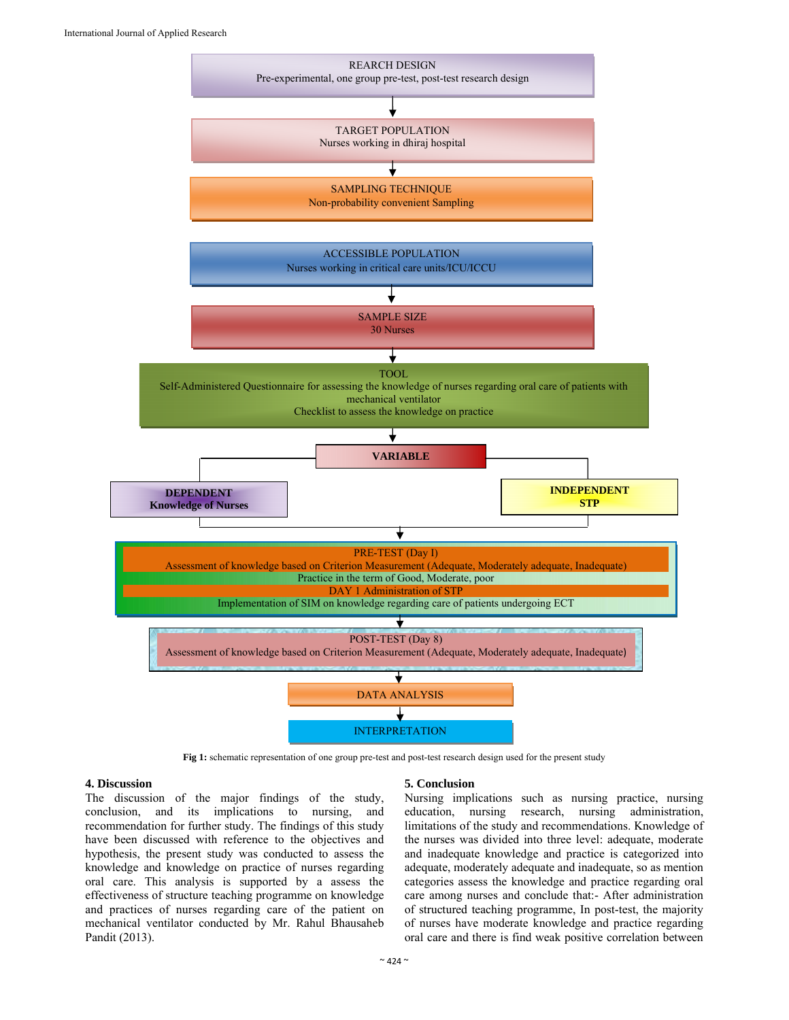

**Fig 1:** schematic representation of one group pre-test and post-test research design used for the present study

# **4. Discussion**

The discussion of the major findings of the study, conclusion, and its implications to nursing, and recommendation for further study. The findings of this study have been discussed with reference to the objectives and hypothesis, the present study was conducted to assess the knowledge and knowledge on practice of nurses regarding oral care. This analysis is supported by a assess the effectiveness of structure teaching programme on knowledge and practices of nurses regarding care of the patient on mechanical ventilator conducted by Mr. Rahul Bhausaheb Pandit (2013).

## **5. Conclusion**

Nursing implications such as nursing practice, nursing education, nursing research, nursing administration, limitations of the study and recommendations. Knowledge of the nurses was divided into three level: adequate, moderate and inadequate knowledge and practice is categorized into adequate, moderately adequate and inadequate, so as mention categories assess the knowledge and practice regarding oral care among nurses and conclude that:- After administration of structured teaching programme, In post-test, the majority of nurses have moderate knowledge and practice regarding oral care and there is find weak positive correlation between